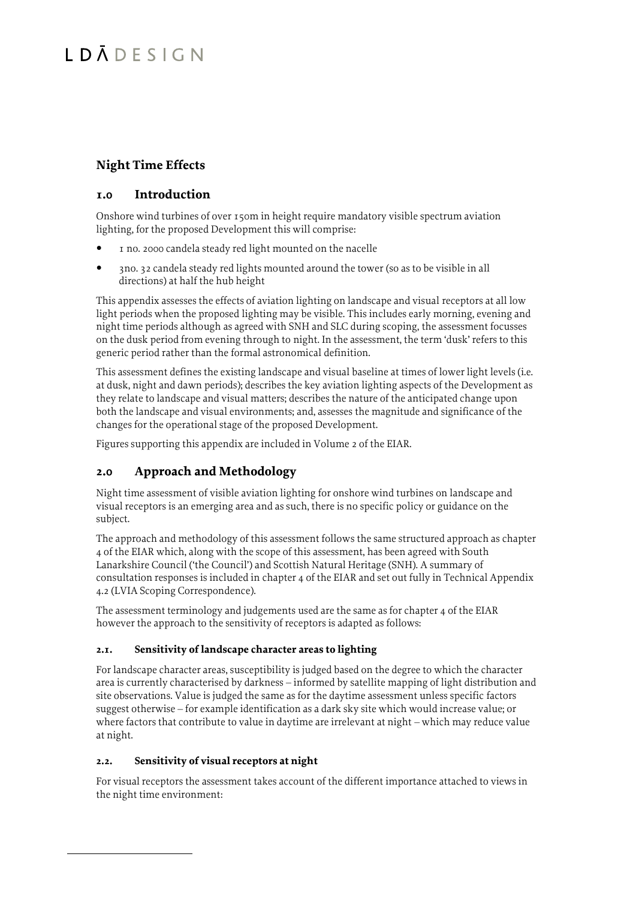# **Night Time Effects**

## **1.0 Introduction**

Onshore wind turbines of over 150m in height require mandatory visible spectrum aviation lighting, for the proposed Development this will comprise:

- 1 no. 2000 candela steady red light mounted on the nacelle
- 3no. 32 candela steady red lights mounted around the tower (so as to be visible in all directions) at half the hub height

This appendix assesses the effects of aviation lighting on landscape and visual receptors at all low light periods when the proposed lighting may be visible. This includes early morning, evening and night time periods although as agreed with SNH and SLC during scoping, the assessment focusses on the dusk period from evening through to night. In the assessment, the term 'dusk' refers to this generic period rather than the formal astronomical definition.

This assessment defines the existing landscape and visual baseline at times of lower light levels (i.e. at dusk, night and dawn periods); describes the key aviation lighting aspects of the Development as they relate to landscape and visual matters; describes the nature of the anticipated change upon both the landscape and visual environments; and, assesses the magnitude and significance of the changes for the operational stage of the proposed Development.

Figures supporting this appendix are included in Volume 2 of the EIAR.

## **2.0 Approach and Methodology**

Night time assessment of visible aviation lighting for onshore wind turbines on landscape and visual receptors is an emerging area and as such, there is no specific policy or guidance on the subject.

The approach and methodology of this assessment follows the same structured approach as chapter 4 of the EIAR which, along with the scope of this assessment, has been agreed with South Lanarkshire Council ('the Council') and Scottish Natural Heritage (SNH). A summary of consultation responses is included in chapter 4 of the EIAR and set out fully in Technical Appendix 4.2 (LVIA Scoping Correspondence).

The assessment terminology and judgements used are the same as for chapter 4 of the EIAR however the approach to the sensitivity of receptors is adapted as follows:

## **2.1. Sensitivity of landscape character areas to lighting**

For landscape character areas, susceptibility is judged based on the degree to which the character area is currently characterised by darkness – informed by satellite mapping of light distribution and site observations. Value is judged the same as for the daytime assessment unless specific factors suggest otherwise – for example identification as a dark sky site which would increase value; or where factors that contribute to value in daytime are irrelevant at night – which may reduce value at night.

### **2.2. Sensitivity of visual receptors at night**

For visual receptors the assessment takes account of the different importance attached to views in the night time environment: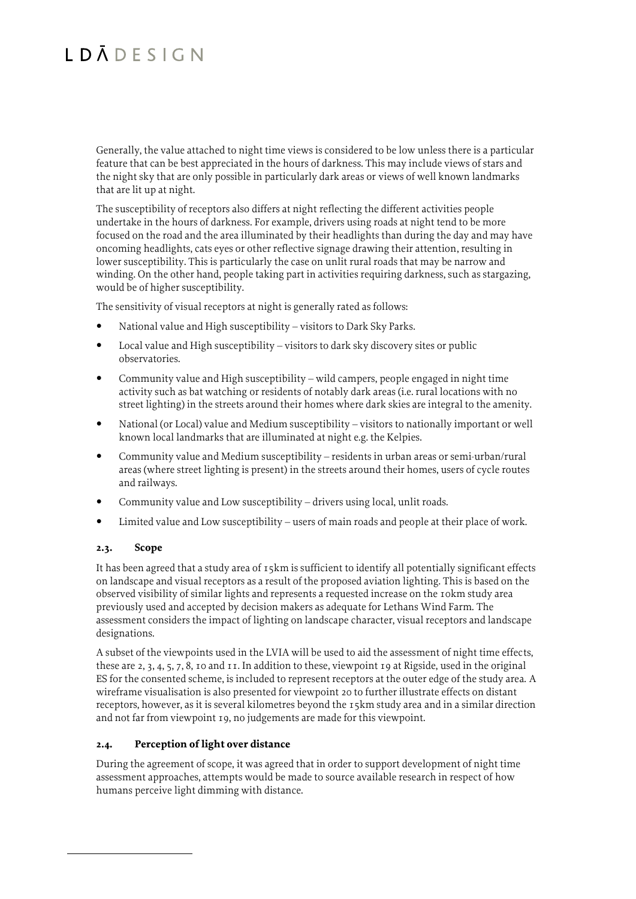Generally, the value attached to night time views is considered to be low unless there is a particular feature that can be best appreciated in the hours of darkness. This may include views of stars and the night sky that are only possible in particularly dark areas or views of well known landmarks that are lit up at night.

The susceptibility of receptors also differs at night reflecting the different activities people undertake in the hours of darkness. For example, drivers using roads at night tend to be more focused on the road and the area illuminated by their headlights than during the day and may have oncoming headlights, cats eyes or other reflective signage drawing their attention, resulting in lower susceptibility. This is particularly the case on unlit rural roads that may be narrow and winding. On the other hand, people taking part in activities requiring darkness, such as stargazing, would be of higher susceptibility.

The sensitivity of visual receptors at night is generally rated as follows:

- National value and High susceptibility visitors to Dark Sky Parks.
- Local value and High susceptibility visitors to dark sky discovery sites or public observatories.
- Community value and High susceptibility wild campers, people engaged in night time activity such as bat watching or residents of notably dark areas (i.e. rural locations with no street lighting) in the streets around their homes where dark skies are integral to the amenity.
- National (or Local) value and Medium susceptibility visitors to nationally important or well known local landmarks that are illuminated at night e.g. the Kelpies.
- Community value and Medium susceptibility residents in urban areas or semi-urban/rural areas (where street lighting is present) in the streets around their homes, users of cycle routes and railways.
- Community value and Low susceptibility drivers using local, unlit roads.
- Limited value and Low susceptibility users of main roads and people at their place of work.

#### **2.3. Scope**

It has been agreed that a study area of 15km is sufficient to identify all potentially significant effects on landscape and visual receptors as a result of the proposed aviation lighting. This is based on the observed visibility of similar lights and represents a requested increase on the 10km study area previously used and accepted by decision makers as adequate for Lethans Wind Farm. The assessment considers the impact of lighting on landscape character, visual receptors and landscape designations.

A subset of the viewpoints used in the LVIA will be used to aid the assessment of night time effects, these are 2, 3, 4, 5, 7, 8, 10 and 11. In addition to these, viewpoint 19 at Rigside, used in the original ES for the consented scheme, is included to represent receptors at the outer edge of the study area. A wireframe visualisation is also presented for viewpoint 20 to further illustrate effects on distant receptors, however, as it is several kilometres beyond the 15km study area and in a similar direction and not far from viewpoint 19, no judgements are made for this viewpoint.

### **2.4. Perception of light over distance**

During the agreement of scope, it was agreed that in order to support development of night time assessment approaches, attempts would be made to source available research in respect of how humans perceive light dimming with distance.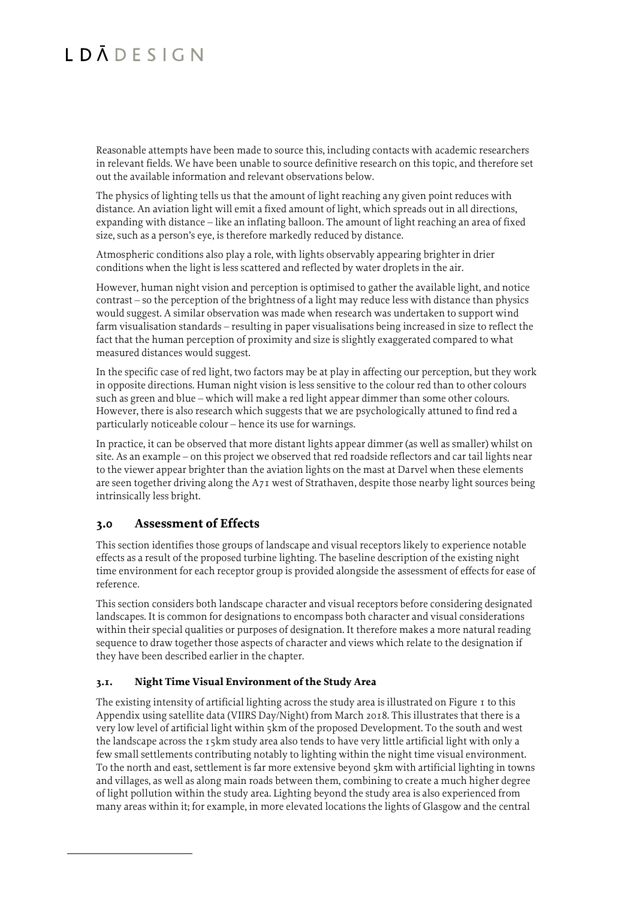Reasonable attempts have been made to source this, including contacts with academic researchers in relevant fields. We have been unable to source definitive research on this topic, and therefore set out the available information and relevant observations below.

The physics of lighting tells us that the amount of light reaching any given point reduces with distance. An aviation light will emit a fixed amount of light, which spreads out in all directions, expanding with distance – like an inflating balloon. The amount of light reaching an area of fixed size, such as a person's eye, is therefore markedly reduced by distance.

Atmospheric conditions also play a role, with lights observably appearing brighter in drier conditions when the light is less scattered and reflected by water droplets in the air.

However, human night vision and perception is optimised to gather the available light, and notice contrast – so the perception of the brightness of a light may reduce less with distance than physics would suggest. A similar observation was made when research was undertaken to support wind farm visualisation standards – resulting in paper visualisations being increased in size to reflect the fact that the human perception of proximity and size is slightly exaggerated compared to what measured distances would suggest.

In the specific case of red light, two factors may be at play in affecting our perception, but they work in opposite directions. Human night vision is less sensitive to the colour red than to other colours such as green and blue – which will make a red light appear dimmer than some other colours. However, there is also research which suggests that we are psychologically attuned to find red a particularly noticeable colour – hence its use for warnings.

In practice, it can be observed that more distant lights appear dimmer (as well as smaller) whilst on site. As an example – on this project we observed that red roadside reflectors and car tail lights near to the viewer appear brighter than the aviation lights on the mast at Darvel when these elements are seen together driving along the A71 west of Strathaven, despite those nearby light sources being intrinsically less bright.

## **3.0 Assessment of Effects**

This section identifies those groups of landscape and visual receptors likely to experience notable effects as a result of the proposed turbine lighting. The baseline description of the existing night time environment for each receptor group is provided alongside the assessment of effects for ease of reference.

This section considers both landscape character and visual receptors before considering designated landscapes. It is common for designations to encompass both character and visual considerations within their special qualities or purposes of designation. It therefore makes a more natural reading sequence to draw together those aspects of character and views which relate to the designation if they have been described earlier in the chapter.

### **3.1. Night Time Visual Environment of the Study Area**

The existing intensity of artificial lighting across the study area is illustrated on Figure 1 to this Appendix using satellite data (VIIRS Day/Night) from March 2018. This illustrates that there is a very low level of artificial light within 5km of the proposed Development. To the south and west the landscape across the 15km study area also tends to have very little artificial light with only a few small settlements contributing notably to lighting within the night time visual environment. To the north and east, settlement is far more extensive beyond 5km with artificial lighting in towns and villages, as well as along main roads between them, combining to create a much higher degree of light pollution within the study area. Lighting beyond the study area is also experienced from many areas within it; for example, in more elevated locations the lights of Glasgow and the central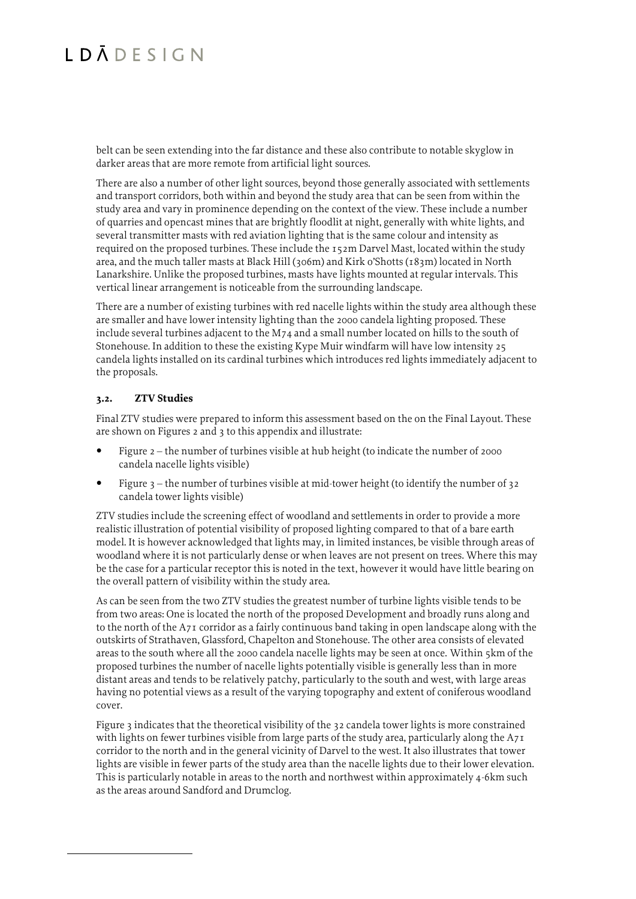# $I\overline{D\overline{A}}$   $D$   $F$   $S$   $I$   $G$   $N$

belt can be seen extending into the far distance and these also contribute to notable skyglow in darker areas that are more remote from artificial light sources.

There are also a number of other light sources, beyond those generally associated with settlements and transport corridors, both within and beyond the study area that can be seen from within the study area and vary in prominence depending on the context of the view. These include a number of quarries and opencast mines that are brightly floodlit at night, generally with white lights, and several transmitter masts with red aviation lighting that is the same colour and intensity as required on the proposed turbines. These include the 152m Darvel Mast, located within the study area, and the much taller masts at Black Hill (306m) and Kirk o'Shotts (183m) located in North Lanarkshire. Unlike the proposed turbines, masts have lights mounted at regular intervals. This vertical linear arrangement is noticeable from the surrounding landscape.

There are a number of existing turbines with red nacelle lights within the study area although these are smaller and have lower intensity lighting than the 2000 candela lighting proposed. These include several turbines adjacent to the M74 and a small number located on hills to the south of Stonehouse. In addition to these the existing Kype Muir windfarm will have low intensity 25 candela lights installed on its cardinal turbines which introduces red lights immediately adjacent to the proposals.

### **3.2. ZTV Studies**

Final ZTV studies were prepared to inform this assessment based on the on the Final Layout. These are shown on Figures 2 and 3 to this appendix and illustrate:

- Figure 2 the number of turbines visible at hub height (to indicate the number of 2000 candela nacelle lights visible)
- Figure 3 the number of turbines visible at mid-tower height (to identify the number of 32 candela tower lights visible)

ZTV studies include the screening effect of woodland and settlements in order to provide a more realistic illustration of potential visibility of proposed lighting compared to that of a bare earth model. It is however acknowledged that lights may, in limited instances, be visible through areas of woodland where it is not particularly dense or when leaves are not present on trees. Where this may be the case for a particular receptor this is noted in the text, however it would have little bearing on the overall pattern of visibility within the study area.

As can be seen from the two ZTV studies the greatest number of turbine lights visible tends to be from two areas: One is located the north of the proposed Development and broadly runs along and to the north of the A71 corridor as a fairly continuous band taking in open landscape along with the outskirts of Strathaven, Glassford, Chapelton and Stonehouse. The other area consists of elevated areas to the south where all the 2000 candela nacelle lights may be seen at once. Within 5km of the proposed turbines the number of nacelle lights potentially visible is generally less than in more distant areas and tends to be relatively patchy, particularly to the south and west, with large areas having no potential views as a result of the varying topography and extent of coniferous woodland cover.

Figure 3 indicates that the theoretical visibility of the 32 candela tower lights is more constrained with lights on fewer turbines visible from large parts of the study area, particularly along the A71 corridor to the north and in the general vicinity of Darvel to the west. It also illustrates that tower lights are visible in fewer parts of the study area than the nacelle lights due to their lower elevation. This is particularly notable in areas to the north and northwest within approximately 4-6km such as the areas around Sandford and Drumclog.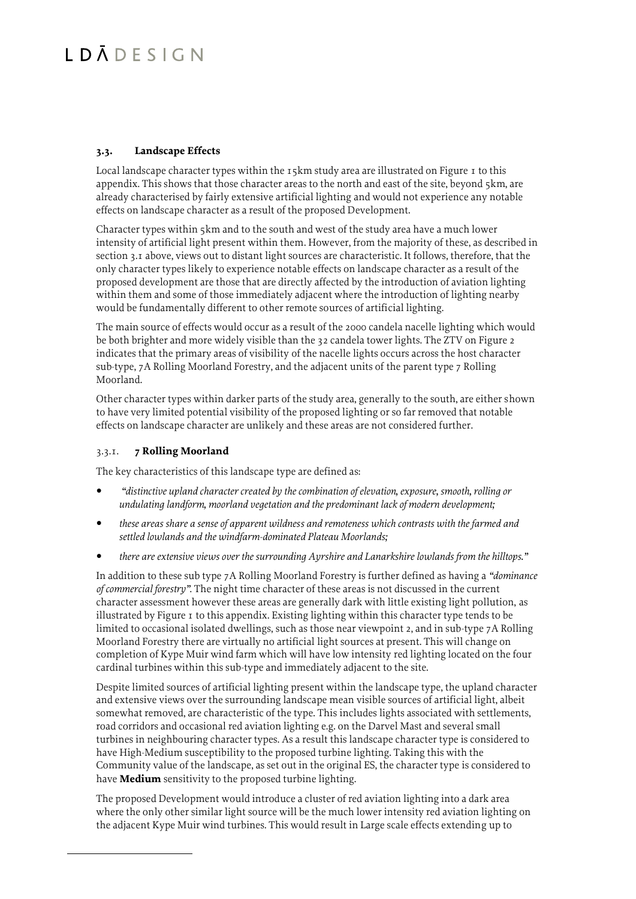### **3.3. Landscape Effects**

Local landscape character types within the 15km study area are illustrated on Figure 1 to this appendix. This shows that those character areas to the north and east of the site, beyond 5km, are already characterised by fairly extensive artificial lighting and would not experience any notable effects on landscape character as a result of the proposed Development.

Character types within 5km and to the south and west of the study area have a much lower intensity of artificial light present within them. However, from the majority of these, as described in section 3.1 above, views out to distant light sources are characteristic. It follows, therefore, that the only character types likely to experience notable effects on landscape character as a result of the proposed development are those that are directly affected by the introduction of aviation lighting within them and some of those immediately adjacent where the introduction of lighting nearby would be fundamentally different to other remote sources of artificial lighting.

The main source of effects would occur as a result of the 2000 candela nacelle lighting which would be both brighter and more widely visible than the 32 candela tower lights. The ZTV on Figure 2 indicates that the primary areas of visibility of the nacelle lights occurs across the host character sub-type, 7A Rolling Moorland Forestry, and the adjacent units of the parent type 7 Rolling Moorland.

Other character types within darker parts of the study area, generally to the south, are either shown to have very limited potential visibility of the proposed lighting or so far removed that notable effects on landscape character are unlikely and these areas are not considered further.

### 3.3.1. **7 Rolling Moorland**

The key characteristics of this landscape type are defined as:

- *"distinctive upland character created by the combination of elevation, exposure, smooth, rolling or undulating landform, moorland vegetation and the predominant lack of modern development;*
- *these areas share a sense of apparent wildness and remoteness which contrasts with the farmed and settled lowlands and the windfarm-dominated Plateau Moorlands;*
- *there are extensive views over the surrounding Ayrshire and Lanarkshire lowlands from the hilltops."*

In addition to these sub type 7A Rolling Moorland Forestry is further defined as having a *"dominance of commercial forestry"*. The night time character of these areas is not discussed in the current character assessment however these areas are generally dark with little existing light pollution, as illustrated by Figure  $\sigma$  to this appendix. Existing lighting within this character type tends to be limited to occasional isolated dwellings, such as those near viewpoint 2, and in sub-type 7A Rolling Moorland Forestry there are virtually no artificial light sources at present. This will change on completion of Kype Muir wind farm which will have low intensity red lighting located on the four cardinal turbines within this sub-type and immediately adjacent to the site.

Despite limited sources of artificial lighting present within the landscape type, the upland character and extensive views over the surrounding landscape mean visible sources of artificial light, albeit somewhat removed, are characteristic of the type. This includes lights associated with settlements, road corridors and occasional red aviation lighting e.g. on the Darvel Mast and several small turbines in neighbouring character types. As a result this landscape character type is considered to have High-Medium susceptibility to the proposed turbine lighting. Taking this with the Community value of the landscape, as set out in the original ES, the character type is considered to have **Medium** sensitivity to the proposed turbine lighting.

The proposed Development would introduce a cluster of red aviation lighting into a dark area where the only other similar light source will be the much lower intensity red aviation lighting on the adjacent Kype Muir wind turbines. This would result in Large scale effects extending up to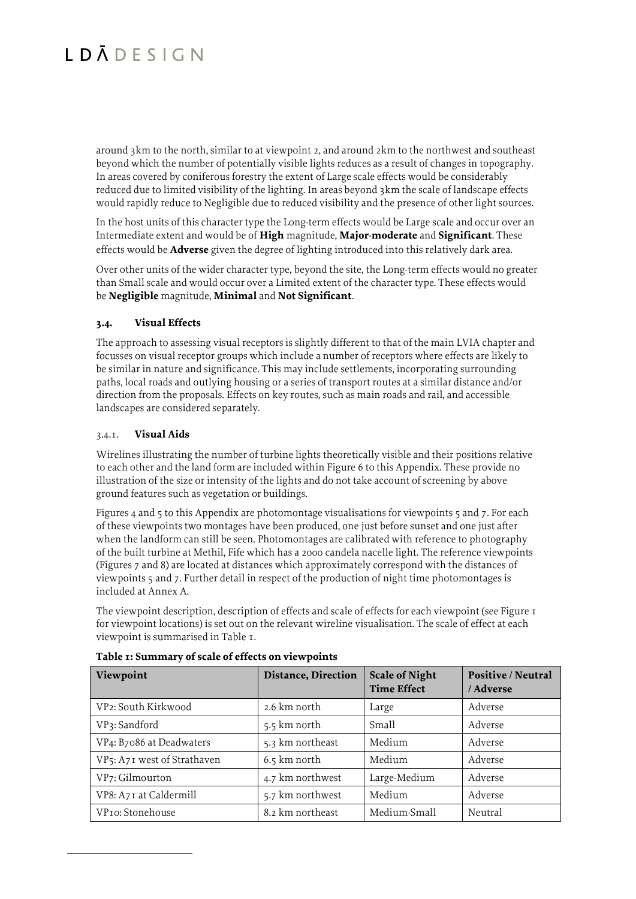around 3km to the north, similar to at viewpoint 2, and around 2km to the northwest and southeast beyond which the number of potentially visible lights reduces as a result of changes in topography. In areas covered by coniferous forestry the extent of Large scale effects would be considerably reduced due to limited visibility of the lighting. In areas beyond 3km the scale of landscape effects would rapidly reduce to Negligible due to reduced visibility and the presence of other light sources.

In the host units of this character type the Long-term effects would be Large scale and occur over an Intermediate extent and would be of **High** magnitude, **Major-moderate** and **Significant**. These effects would be **Adverse** given the degree of lighting introduced into this relatively dark area.

Over other units of the wider character type, beyond the site, the Long-term effects would no greater than Small scale and would occur over a Limited extent of the character type. These effects would be **Negligible** magnitude, **Minimal** and **Not Significant**.

### **3.4. Visual Effects**

The approach to assessing visual receptors is slightly different to that of the main LVIA chapter and focusses on visual receptor groups which include a number of receptors where effects are likely to be similar in nature and significance. This may include settlements, incorporating surrounding paths, local roads and outlying housing or a series of transport routes at a similar distance and/or direction from the proposals. Effects on key routes, such as main roads and rail, and accessible landscapes are considered separately.

### 3.4.1. **Visual Aids**

Wirelines illustrating the number of turbine lights theoretically visible and their positions relative to each other and the land form are included within Figure 6 to this Appendix. These provide no illustration of the size or intensity of the lights and do not take account of screening by above ground features such as vegetation or buildings.

Figures 4 and 5 to this Appendix are photomontage visualisations for viewpoints 5 and 7. For each of these viewpoints two montages have been produced, one just before sunset and one just after when the landform can still be seen. Photomontages are calibrated with reference to photography of the built turbine at Methil, Fife which has a 2000 candela nacelle light. The reference viewpoints (Figures 7 and 8) are located at distances which approximately correspond with the distances of viewpoints 5 and 7. Further detail in respect of the production of night time photomontages is included at Annex A.

The viewpoint description, description of effects and scale of effects for each viewpoint (see Figure 1 for viewpoint locations) is set out on the relevant wireline visualisation. The scale of effect at each viewpoint is summarised in Table 1.

| Viewpoint                                             | Distance, Direction | <b>Scale of Night</b><br><b>Time Effect</b> | Positive / Neutral<br>/ Adverse |
|-------------------------------------------------------|---------------------|---------------------------------------------|---------------------------------|
| VP2: South Kirkwood                                   | 2.6 km north        | Large                                       | Adverse                         |
| VP3: Sandford                                         | 5.5 km north        | Small                                       | Adverse                         |
| VP4: B7086 at Deadwaters                              | 5.3 km northeast    | Medium                                      | Adverse                         |
| VP <sub>5</sub> : A <sub>7</sub> I west of Strathaven | $6.5$ km north      | Medium                                      | Adverse                         |
| VP7: Gilmourton                                       | 4.7 km northwest    | Large-Medium                                | Adverse                         |
| VP8: A71 at Caldermill                                | 5.7 km northwest    | Medium                                      | Adverse                         |
| VP <sub>I</sub> o: Stonehouse                         | 8.2 km northeast    | Medium-Small                                | Neutral                         |

**Table 1: Summary of scale of effects on viewpoints**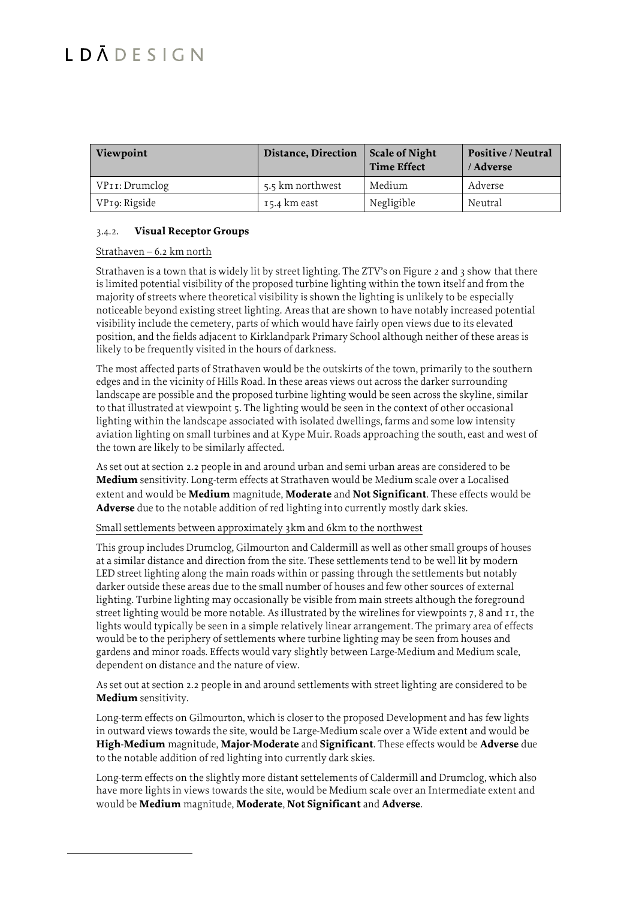| Viewpoint      | Distance, Direction | <b>Scale of Night</b><br><b>Time Effect</b> | <b>Positive / Neutral</b><br>/ Adverse |
|----------------|---------------------|---------------------------------------------|----------------------------------------|
| VP11: Drumclog | 5.5 km northwest    | Medium                                      | Adverse                                |
| VP19: Rigside  | 15.4 km east        | Negligible                                  | Neutral                                |

#### 3.4.2. **Visual Receptor Groups**

#### Strathaven – 6.2 km north

Strathaven is a town that is widely lit by street lighting. The ZTV's on Figure 2 and 3 show that there is limited potential visibility of the proposed turbine lighting within the town itself and from the majority of streets where theoretical visibility is shown the lighting is unlikely to be especially noticeable beyond existing street lighting. Areas that are shown to have notably increased potential visibility include the cemetery, parts of which would have fairly open views due to its elevated position, and the fields adjacent to Kirklandpark Primary School although neither of these areas is likely to be frequently visited in the hours of darkness.

The most affected parts of Strathaven would be the outskirts of the town, primarily to the southern edges and in the vicinity of Hills Road. In these areas views out across the darker surrounding landscape are possible and the proposed turbine lighting would be seen across the skyline, similar to that illustrated at viewpoint 5. The lighting would be seen in the context of other occasional lighting within the landscape associated with isolated dwellings, farms and some low intensity aviation lighting on small turbines and at Kype Muir. Roads approaching the south, east and west of the town are likely to be similarly affected.

As set out at section 2.2 people in and around urban and semi urban areas are considered to be **Medium** sensitivity. Long-term effects at Strathaven would be Medium scale over a Localised extent and would be **Medium** magnitude, **Moderate** and **Not Significant**. These effects would be **Adverse** due to the notable addition of red lighting into currently mostly dark skies.

#### Small settlements between approximately 3km and 6km to the northwest

This group includes Drumclog, Gilmourton and Caldermill as well as other small groups of houses at a similar distance and direction from the site. These settlements tend to be well lit by modern LED street lighting along the main roads within or passing through the settlements but notably darker outside these areas due to the small number of houses and few other sources of external lighting. Turbine lighting may occasionally be visible from main streets although the foreground street lighting would be more notable. As illustrated by the wirelines for viewpoints 7, 8 and 11, the lights would typically be seen in a simple relatively linear arrangement. The primary area of effects would be to the periphery of settlements where turbine lighting may be seen from houses and gardens and minor roads. Effects would vary slightly between Large-Medium and Medium scale, dependent on distance and the nature of view.

As set out at section 2.2 people in and around settlements with street lighting are considered to be **Medium** sensitivity.

Long-term effects on Gilmourton, which is closer to the proposed Development and has few lights in outward views towards the site, would be Large-Medium scale over a Wide extent and would be **High-Medium** magnitude, **Major-Moderate** and **Significant**. These effects would be **Adverse** due to the notable addition of red lighting into currently dark skies.

Long-term effects on the slightly more distant settelements of Caldermill and Drumclog, which also have more lights in views towards the site, would be Medium scale over an Intermediate extent and would be **Medium** magnitude, **Moderate**, **Not Significant** and **Adverse**.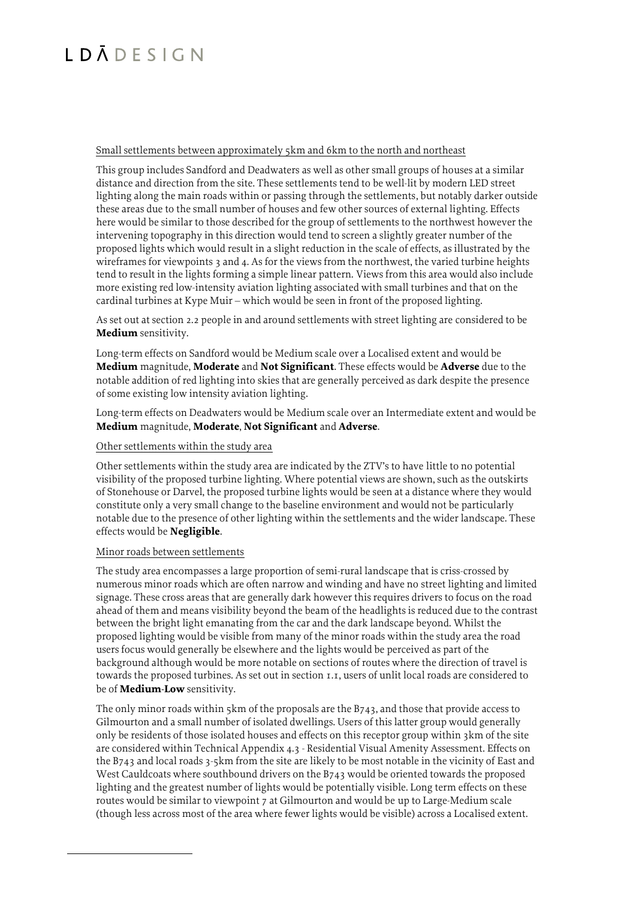#### Small settlements between approximately 5km and 6km to the north and northeast

This group includes Sandford and Deadwaters as well as other small groups of houses at a similar distance and direction from the site. These settlements tend to be well-lit by modern LED street lighting along the main roads within or passing through the settlements, but notably darker outside these areas due to the small number of houses and few other sources of external lighting. Effects here would be similar to those described for the group of settlements to the northwest however the intervening topography in this direction would tend to screen a slightly greater number of the proposed lights which would result in a slight reduction in the scale of effects, as illustrated by the wireframes for viewpoints 3 and 4. As for the views from the northwest, the varied turbine heights tend to result in the lights forming a simple linear pattern. Views from this area would also include more existing red low-intensity aviation lighting associated with small turbines and that on the cardinal turbines at Kype Muir – which would be seen in front of the proposed lighting.

As set out at section 2.2 people in and around settlements with street lighting are considered to be **Medium** sensitivity.

Long-term effects on Sandford would be Medium scale over a Localised extent and would be **Medium** magnitude, **Moderate** and **Not Significant**. These effects would be **Adverse** due to the notable addition of red lighting into skies that are generally perceived as dark despite the presence of some existing low intensity aviation lighting.

Long-term effects on Deadwaters would be Medium scale over an Intermediate extent and would be **Medium** magnitude, **Moderate**, **Not Significant** and **Adverse**.

### Other settlements within the study area

Other settlements within the study area are indicated by the ZTV's to have little to no potential visibility of the proposed turbine lighting. Where potential views are shown, such as the outskirts of Stonehouse or Darvel, the proposed turbine lights would be seen at a distance where they would constitute only a very small change to the baseline environment and would not be particularly notable due to the presence of other lighting within the settlements and the wider landscape. These effects would be **Negligible**.

#### Minor roads between settlements

The study area encompasses a large proportion of semi-rural landscape that is criss-crossed by numerous minor roads which are often narrow and winding and have no street lighting and limited signage. These cross areas that are generally dark however this requires drivers to focus on the road ahead of them and means visibility beyond the beam of the headlights is reduced due to the contrast between the bright light emanating from the car and the dark landscape beyond. Whilst the proposed lighting would be visible from many of the minor roads within the study area the road users focus would generally be elsewhere and the lights would be perceived as part of the background although would be more notable on sections of routes where the direction of travel is towards the proposed turbines. As set out in section 1.1, users of unlit local roads are considered to be of **Medium-Low** sensitivity.

The only minor roads within  $5km$  of the proposals are the  $B743$ , and those that provide access to Gilmourton and a small number of isolated dwellings. Users of this latter group would generally only be residents of those isolated houses and effects on this receptor group within 3km of the site are considered within Technical Appendix 4.3 - Residential Visual Amenity Assessment. Effects on the B743 and local roads 3-5km from the site are likely to be most notable in the vicinity of East and West Cauldcoats where southbound drivers on the B743 would be oriented towards the proposed lighting and the greatest number of lights would be potentially visible. Long term effects on these routes would be similar to viewpoint 7 at Gilmourton and would be up to Large-Medium scale (though less across most of the area where fewer lights would be visible) across a Localised extent.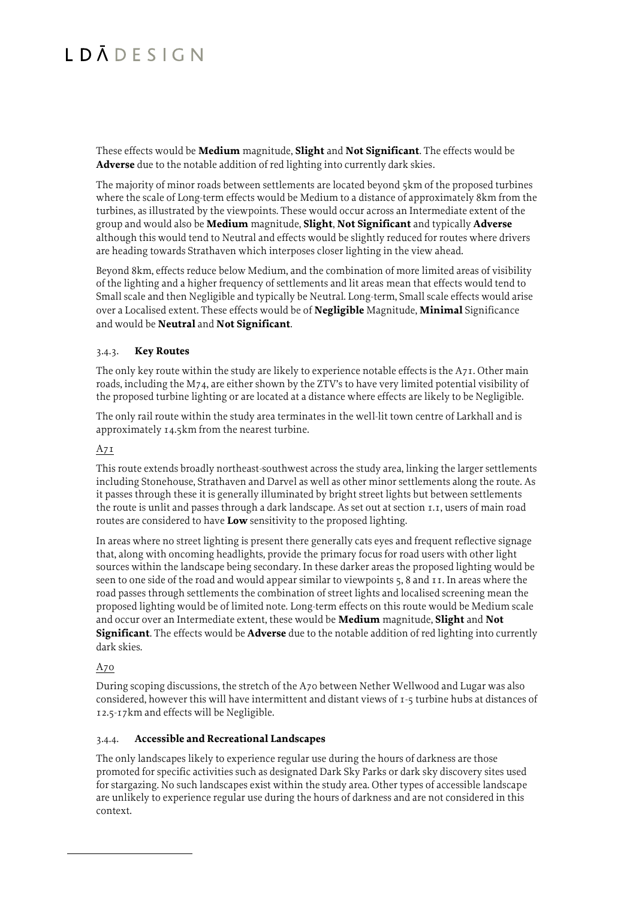These effects would be **Medium** magnitude, **Slight** and **Not Significant**. The effects would be **Adverse** due to the notable addition of red lighting into currently dark skies.

The majority of minor roads between settlements are located beyond 5km of the proposed turbines where the scale of Long-term effects would be Medium to a distance of approximately 8km from the turbines, as illustrated by the viewpoints. These would occur across an Intermediate extent of the group and would also be **Medium** magnitude, **Slight**, **Not Significant** and typically **Adverse** although this would tend to Neutral and effects would be slightly reduced for routes where drivers are heading towards Strathaven which interposes closer lighting in the view ahead.

Beyond 8km, effects reduce below Medium, and the combination of more limited areas of visibility of the lighting and a higher frequency of settlements and lit areas mean that effects would tend to Small scale and then Negligible and typically be Neutral. Long-term, Small scale effects would arise over a Localised extent. These effects would be of **Negligible** Magnitude, **Minimal** Significance and would be **Neutral** and **Not Significant**.

#### 3.4.3. **Key Routes**

The only key route within the study are likely to experience notable effects is the A71. Other main roads, including the M74, are either shown by the ZTV's to have very limited potential visibility of the proposed turbine lighting or are located at a distance where effects are likely to be Negligible.

The only rail route within the study area terminates in the well-lit town centre of Larkhall and is approximately 14.5km from the nearest turbine.

#### A71

This route extends broadly northeast-southwest across the study area, linking the larger settlements including Stonehouse, Strathaven and Darvel as well as other minor settlements along the route. As it passes through these it is generally illuminated by bright street lights but between settlements the route is unlit and passes through a dark landscape. As set out at section 1.1, users of main road routes are considered to have **Low** sensitivity to the proposed lighting.

In areas where no street lighting is present there generally cats eyes and frequent reflective signage that, along with oncoming headlights, provide the primary focus for road users with other light sources within the landscape being secondary. In these darker areas the proposed lighting would be seen to one side of the road and would appear similar to viewpoints 5, 8 and 11. In areas where the road passes through settlements the combination of street lights and localised screening mean the proposed lighting would be of limited note. Long-term effects on this route would be Medium scale and occur over an Intermediate extent, these would be **Medium** magnitude, **Slight** and **Not Significant**. The effects would be **Adverse** due to the notable addition of red lighting into currently dark skies.

#### A7o

During scoping discussions, the stretch of the A70 between Nether Wellwood and Lugar was also considered, however this will have intermittent and distant views of 1-5 turbine hubs at distances of 12.5-17km and effects will be Negligible.

#### 3.4.4. **Accessible and Recreational Landscapes**

The only landscapes likely to experience regular use during the hours of darkness are those promoted for specific activities such as designated Dark Sky Parks or dark sky discovery sites used for stargazing. No such landscapes exist within the study area. Other types of accessible landscape are unlikely to experience regular use during the hours of darkness and are not considered in this context.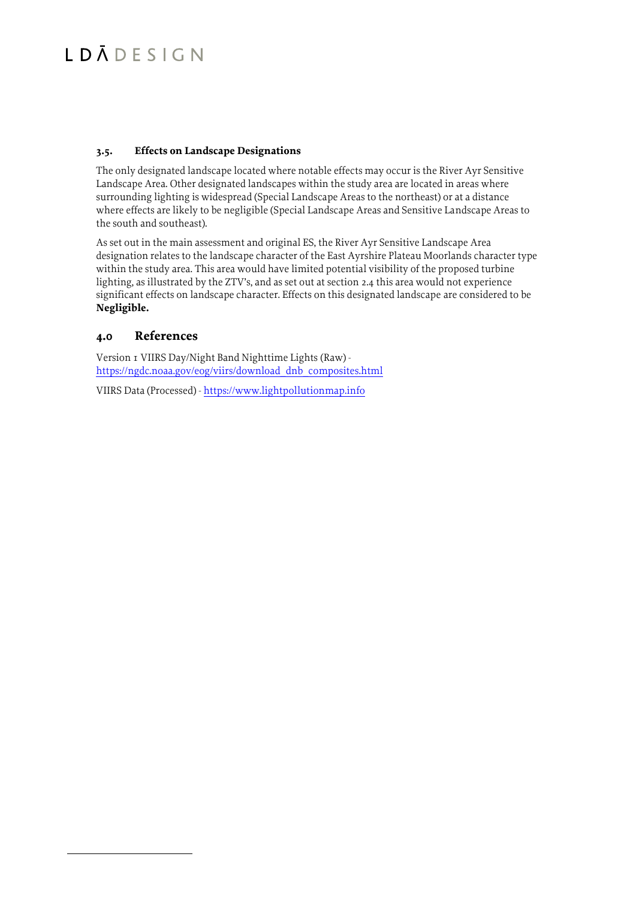# **LDĀDESIGN**

### **3.5. Effects on Landscape Designations**

The only designated landscape located where notable effects may occur is the River Ayr Sensitive Landscape Area. Other designated landscapes within the study area are located in areas where surrounding lighting is widespread (Special Landscape Areas to the northeast) or at a distance where effects are likely to be negligible (Special Landscape Areas and Sensitive Landscape Areas to the south and southeast).

As set out in the main assessment and original ES, the River Ayr Sensitive Landscape Area designation relates to the landscape character of the East Ayrshire Plateau Moorlands character type within the study area. This area would have limited potential visibility of the proposed turbine lighting, as illustrated by the ZTV's, and as set out at section 2.4 this area would not experience significant effects on landscape character. Effects on this designated landscape are considered to be **Negligible.**

## **4.0 References**

Version 1 VIIRS Day/Night Band Nighttime Lights (Raw) [https://ngdc.noaa.gov/eog/viirs/download\\_dnb\\_composites.html](https://ngdc.noaa.gov/eog/viirs/download_dnb_composites.html) VIIRS Data (Processed) - [https://www.lightpollutionmap.info](https://www.lightpollutionmap.info/)